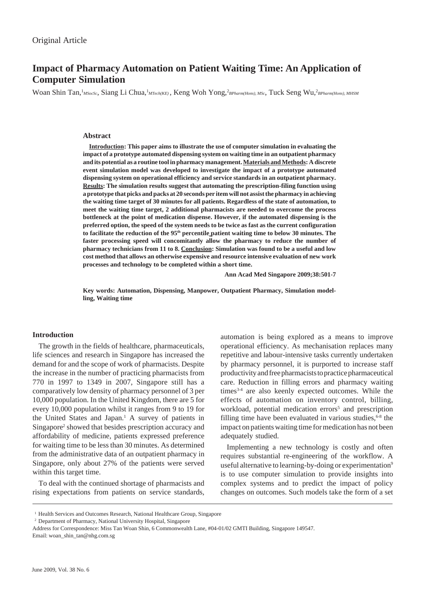# **Impact of Pharmacy Automation on Patient Waiting Time: An Application of Computer Simulation**

Woan Shin Tan,<sup>1</sup>MSocSc, Siang Li Chua,<sup>1</sup>MTech(KE), Keng Woh Yong,<sup>2</sup>BPharm(Hons), MSc, Tuck Seng Wu,<sup>2</sup>BPharm(Hons), MHSM

# **Abstract**

**Introduction: This paper aims to illustrate the use of computer simulation in evaluating the impact of a prototype automated dispensing system on waiting time in an outpatient pharmacy and its potential as a routine tool in pharmacy management. Materials and Methods: A discrete event simulation model was developed to investigate the impact of a prototype automated dispensing system on operational efficiency and service standards in an outpatient pharmacy. Results: The simulation results suggest that automating the prescription-filing function using a prototype that picks and packs at 20 seconds per item will not assist the pharmacy in achieving the waiting time target of 30 minutes for all patients. Regardless of the state of automation, to meet the waiting time target, 2 additional pharmacists are needed to overcome the process bottleneck at the point of medication dispense. However, if the automated dispensing is the preferred option, the speed of the system needs to be twice as fast as the current configuration to facilitate the reduction of the 95th percentile patient waiting time to below 30 minutes. The faster processing speed will concomitantly allow the pharmacy to reduce the number of pharmacy technicians from 11 to 8. Conclusion: Simulation was found to be a useful and low cost method that allows an otherwise expensive and resource intensive evaluation of new work processes and technology to be completed within a short time.**

**Ann Acad Med Singapore 2009;38:501-7**

**Key words: Automation, Dispensing, Manpower, Outpatient Pharmacy, Simulation modelling, Waiting time**

#### **Introduction**

The growth in the fields of healthcare, pharmaceuticals, life sciences and research in Singapore has increased the demand for and the scope of work of pharmacists. Despite the increase in the number of practicing pharmacists from 770 in 1997 to 1349 in 2007, Singapore still has a comparatively low density of pharmacy personnel of 3 per 10,000 population. In the United Kingdom, there are 5 for every 10,000 population whilst it ranges from 9 to 19 for the United States and Japan.<sup>1</sup> A survey of patients in Singapore<sup>2</sup> showed that besides prescription accuracy and affordability of medicine, patients expressed preference for waiting time to be less than 30 minutes. As determined from the administrative data of an outpatient pharmacy in Singapore, only about 27% of the patients were served within this target time.

To deal with the continued shortage of pharmacists and rising expectations from patients on service standards, automation is being explored as a means to improve operational efficiency. As mechanisation replaces many repetitive and labour-intensive tasks currently undertaken by pharmacy personnel, it is purported to increase staff productivity and free pharmacists to practice pharmaceutical care. Reduction in filling errors and pharmacy waiting times<sup>3-4</sup> are also keenly expected outcomes. While the effects of automation on inventory control, billing, workload, potential medication errors<sup>5</sup> and prescription filling time have been evaluated in various studies, $6-8$  the impact on patients waiting time for medication has not been adequately studied.

Implementing a new technology is costly and often requires substantial re-engineering of the workflow. A useful alternative to learning-by-doing or experimentation<sup>9</sup> is to use computer simulation to provide insights into complex systems and to predict the impact of policy changes on outcomes. Such models take the form of a set

<sup>&</sup>lt;sup>1</sup> Health Services and Outcomes Research, National Healthcare Group, Singapore

<sup>2</sup> Department of Pharmacy, National University Hospital, Singapore

Address for Correspondence: Miss Tan Woan Shin, 6 Commonwealth Lane, #04-01/02 GMTI Building, Singapore 149547. Email: woan\_shin\_tan@nhg.com.sg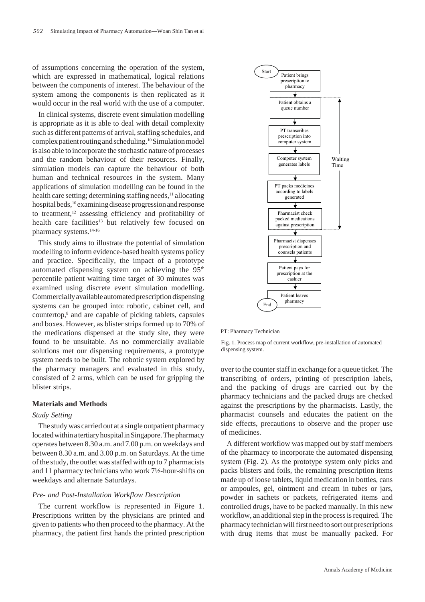of assumptions concerning the operation of the system, which are expressed in mathematical, logical relations between the components of interest. The behaviour of the system among the components is then replicated as it would occur in the real world with the use of a computer.

In clinical systems, discrete event simulation modelling is appropriate as it is able to deal with detail complexity such as different patterns of arrival, staffing schedules, and complex patient routing and scheduling.10 Simulation model is also able to incorporate the stochastic nature of processes and the random behaviour of their resources. Finally, simulation models can capture the behaviour of both human and technical resources in the system. Many applications of simulation modelling can be found in the health care setting; determining staffing needs,<sup>11</sup> allocating hospital beds,<sup>10</sup> examining disease progression and response to treatment,<sup>12</sup> assessing efficiency and profitability of health care facilities<sup>13</sup> but relatively few focused on pharmacy systems.14-16

This study aims to illustrate the potential of simulation modelling to inform evidence-based health systems policy and practice. Specifically, the impact of a prototype automated dispensing system on achieving the 95<sup>th</sup> percentile patient waiting time target of 30 minutes was examined using discrete event simulation modelling. Commercially available automated prescription dispensing systems can be grouped into: robotic, cabinet cell, and countertop,<sup>8</sup> and are capable of picking tablets, capsules and boxes. However, as blister strips formed up to 70% of the medications dispensed at the study site, they were found to be unsuitable. As no commercially available solutions met our dispensing requirements, a prototype system needs to be built. The robotic system explored by the pharmacy managers and evaluated in this study, consisted of 2 arms, which can be used for gripping the blister strips.

# **Materials and Methods**

## *Study Setting*

The study was carried out at a single outpatient pharmacy located within a tertiary hospital in Singapore. The pharmacy operates between 8.30 a.m. and 7.00 p.m. on weekdays and between 8.30 a.m. and 3.00 p.m. on Saturdays. At the time of the study, the outlet was staffed with up to 7 pharmacists and 11 pharmacy technicians who work 7½-hour-shifts on weekdays and alternate Saturdays.

### *Pre- and Post-Installation Workflow Description*

The current workflow is represented in Figure 1. Prescriptions written by the physicians are printed and given to patients who then proceed to the pharmacy. At the pharmacy, the patient first hands the printed prescription



PT: Pharmacy Technician

Fig. 1. Process map of current workflow, pre-installation of automated dispensing system.

over to the counter staff in exchange for a queue ticket. The transcribing of orders, printing of prescription labels, and the packing of drugs are carried out by the pharmacy technicians and the packed drugs are checked against the prescriptions by the pharmacists. Lastly, the pharmacist counsels and educates the patient on the side effects, precautions to observe and the proper use of medicines.

A different workflow was mapped out by staff members of the pharmacy to incorporate the automated dispensing system (Fig. 2). As the prototype system only picks and packs blisters and foils, the remaining prescription items made up of loose tablets, liquid medication in bottles, cans or ampoules, gel, ointment and cream in tubes or jars, powder in sachets or packets, refrigerated items and controlled drugs, have to be packed manually. In this new workflow, an additional step in the process is required. The pharmacy technician will first need to sort out prescriptions with drug items that must be manually packed. For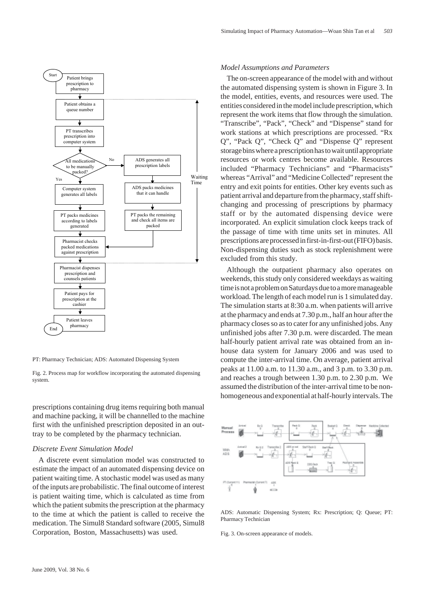

PT: Pharmacy Technician; ADS: Automated Dispensing System

Fig. 2. Process map for workflow incorporating the automated dispensing system.

prescriptions containing drug items requiring both manual and machine packing, it will be channelled to the machine first with the unfinished prescription deposited in an outtray to be completed by the pharmacy technician.

#### *Discrete Event Simulation Model*

A discrete event simulation model was constructed to estimate the impact of an automated dispensing device on patient waiting time. A stochastic model was used as many of the inputs are probabilistic. The final outcome of interest is patient waiting time, which is calculated as time from which the patient submits the prescription at the pharmacy to the time at which the patient is called to receive the medication. The Simul8 Standard software (2005, Simul8 Corporation, Boston, Massachusetts) was used.

#### *Model Assumptions and Parameters*

The on-screen appearance of the model with and without the automated dispensing system is shown in Figure 3. In the model, entities, events, and resources were used. The entities considered in the model include prescription, which represent the work items that flow through the simulation. "Transcribe", "Pack", "Check" and "Dispense" stand for work stations at which prescriptions are processed. "Rx Q", "Pack Q", "Check Q" and "Dispense Q" represent storage bins where a prescription has to wait until appropriate resources or work centres become available. Resources included "Pharmacy Technicians" and "Pharmacists" whereas "Arrival" and "Medicine Collected" represent the entry and exit points for entities. Other key events such as patient arrival and departure from the pharmacy, staff shiftchanging and processing of prescriptions by pharmacy staff or by the automated dispensing device were incorporated. An explicit simulation clock keeps track of the passage of time with time units set in minutes. All prescriptions are processed in first-in-first-out (FIFO) basis. Non-dispensing duties such as stock replenishment were excluded from this study.

Although the outpatient pharmacy also operates on weekends, this study only considered weekdays as waiting time is not a problem on Saturdays due to a more manageable workload. The length of each model run is 1 simulated day. The simulation starts at 8:30 a.m. when patients will arrive at the pharmacy and ends at 7.30 p.m., half an hour after the pharmacy closes so as to cater for any unfinished jobs. Any unfinished jobs after 7.30 p.m. were discarded. The mean half-hourly patient arrival rate was obtained from an inhouse data system for January 2006 and was used to compute the inter-arrival time. On average, patient arrival peaks at 11.00 a.m. to 11.30 a.m., and 3 p.m. to 3.30 p.m. and reaches a trough between 1.30 p.m. to 2.30 p.m. We assumed the distribution of the inter-arrival time to be nonhomogeneous and exponential at half-hourly intervals. The



ADS: Automatic Dispensing System; Rx: Prescription; Q: Queue; PT: Pharmacy Technician

Fig. 3. On-screen appearance of models.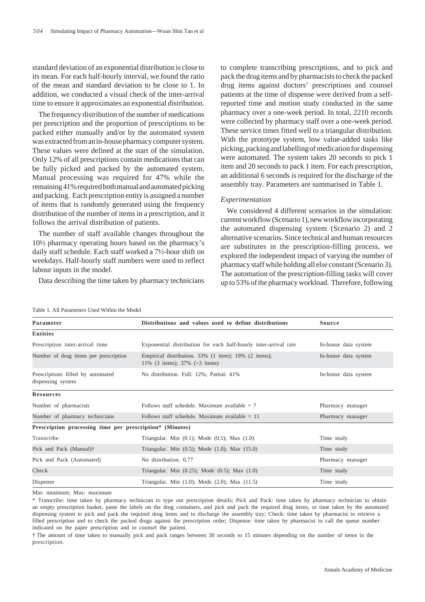standard deviation of an exponential distribution is close to its mean. For each half-hourly interval, we found the ratio of the mean and standard deviation to be close to 1. In addition, we conducted a visual check of the inter-arrival time to ensure it approximates an exponential distribution.

The frequency distribution of the number of medications per prescription and the proportion of prescriptions to be packed either manually and/or by the automated system was extracted from an in-house pharmacy computer system. These values were defined at the start of the simulation. Only 12% of all prescriptions contain medications that can be fully picked and packed by the automated system. Manual processing was required for 47% while the remaining 41% required both manual and automated picking and packing. Each prescription entity is assigned a number of items that is randomly generated using the frequency distribution of the number of items in a prescription, and it follows the arrival distribution of patients.

The number of staff available changes throughout the 10½ pharmacy operating hours based on the pharmacy's daily staff schedule. Each staff worked a 7½-hour shift on weekdays. Half-hourly staff numbers were used to reflect labour inputs in the model.

Data describing the time taken by pharmacy technicians

to complete transcribing prescriptions, and to pick and pack the drug items and by pharmacists to check the packed drug items against doctors' prescriptions and counsel patients at the time of dispense were derived from a selfreported time and motion study conducted in the same pharmacy over a one-week period. In total, 2210 records were collected by pharmacy staff over a one-week period. These service times fitted well to a triangular distribution. With the prototype system, low value-added tasks like picking, packing and labelling of medication for dispensing were automated. The system takes 20 seconds to pick 1 item and 20 seconds to pack 1 item. For each prescription, an additional 6 seconds is required for the discharge of the assembly tray. Parameters are summarised in Table 1.

## *Experimentation*

We considered 4 different scenarios in the simulation: current workflow (Scenario 1), new workflow incorporating the automated dispensing system (Scenario 2) and 2 alternative scenarios. Since technical and human resources are substitutes in the prescription-filling process, we explored the independent impact of varying the number of pharmacy staff while holding all else constant (Scenario 3). The automation of the prescription-filling tasks will cover up to 53% of the pharmacy workload. Therefore, following

| Parameter                                                | Distributions and values used to define distributions                                       | Source               |  |  |  |
|----------------------------------------------------------|---------------------------------------------------------------------------------------------|----------------------|--|--|--|
| <b>Entities</b>                                          |                                                                                             |                      |  |  |  |
| Prescription inter-arrival time                          | Exponential distribution for each half-hourly inter-arrival rate                            | In-house data system |  |  |  |
| Number of drug items per prescription                    | Empirical distribution. 33% (1 item); 19% (2 items);<br>11% (3 items); $37\%$ ( $>3$ items) | In-house data system |  |  |  |
| Prescriptions filled by automated<br>dispensing system   | No distribution. Full: 12%; Partial: 41%                                                    | In-house data system |  |  |  |
| <b>Resources</b>                                         |                                                                                             |                      |  |  |  |
| Number of pharmacists                                    | Follows staff schedule. Maximum available $= 7$                                             | Pharmacy manager     |  |  |  |
| Number of pharmacy technicians                           | Follows staff schedule. Maximum available $= 11$                                            | Pharmacy manager     |  |  |  |
| Prescription processing time per prescription* (Minutes) |                                                                                             |                      |  |  |  |
| Transcribe                                               | Triangular. Min $(0.1)$ ; Mode $(0.5)$ ; Max $(1.0)$                                        | Time study           |  |  |  |
| Pick and Pack (Manual)†                                  | Triangular. Min $(0.5)$ ; Mode $(1.0)$ ; Max $(15.0)$                                       | Time study           |  |  |  |
| Pick and Pack (Automated)                                | No distribution, 0.77                                                                       | Pharmacy manager     |  |  |  |
| Check                                                    | Triangular. Min $(0.25)$ ; Mode $(0.5)$ ; Max $(1.0)$                                       | Time study           |  |  |  |
| Dispense                                                 | Triangular. Min $(1.0)$ ; Mode $(2.0)$ ; Max $(11.5)$                                       | Time study           |  |  |  |

Table 1. All Parameters Used Within the Model

Min: minimum; Max: maximum

\* Transcribe: time taken by pharmacy technician to type out prescription details; Pick and Pack: time taken by pharmacy technician to obtain an empty prescription basket, paste the labels on the drug containers, and pick and pack the required drug items, or time taken by the automated dispensing system to pick and pack the required drug items and to discharge the assembly tray; Check: time taken by pharmacist to retrieve a filled prescription and to check the packed drugs against the prescription order; Dispense: time taken by pharmacist to call the queue number indicated on the paper prescription and to counsel the patient.

† The amount of time taken to manually pick and pack ranges between 30 seconds to 15 minutes depending on the number of items in the prescription.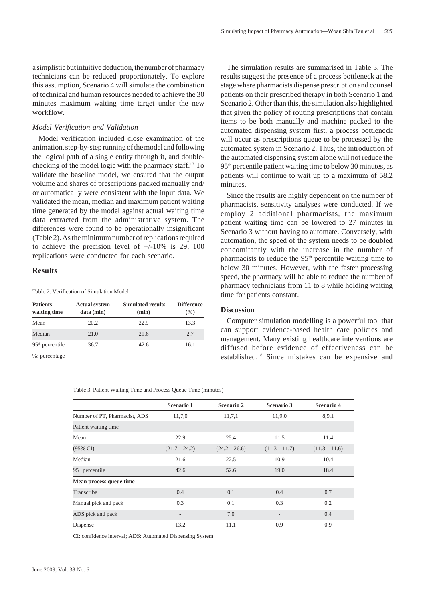a simplistic but intuitive deduction, the number of pharmacy technicians can be reduced proportionately. To explore this assumption, Scenario 4 will simulate the combination of technical and human resources needed to achieve the 30 minutes maximum waiting time target under the new workflow.

### *Model Verification and Validation*

Model verification included close examination of the animation, step-by-step running of the model and following the logical path of a single entity through it, and doublechecking of the model logic with the pharmacy staff.17 To validate the baseline model, we ensured that the output volume and shares of prescriptions packed manually and/ or automatically were consistent with the input data. We validated the mean, median and maximum patient waiting time generated by the model against actual waiting time data extracted from the administrative system. The differences were found to be operationally insignificant (Table 2). As the minimum number of replications required to achieve the precision level of  $+/-10\%$  is 29, 100 replications were conducted for each scenario.

## **Results**

Table 2. Verification of Simulation Model

| Patients'<br>waiting time | <b>Actual system</b><br>data (min) | <b>Simulated results</b><br>(min) | <b>Difference</b><br>$\left(\frac{9}{0}\right)$ |
|---------------------------|------------------------------------|-----------------------------------|-------------------------------------------------|
| Mean                      | 20.2                               | 22.9                              | 13.3                                            |
| Median                    | 21.0                               | 21.6                              | 2.7                                             |
| $95th$ percentile         | 36.7                               | 42.6                              | 16.1                                            |
| $\sim$                    |                                    |                                   |                                                 |

%: percentage

| Table 3. Patient Waiting Time and Process Queue Time (minutes) |  |  |  |
|----------------------------------------------------------------|--|--|--|
|                                                                |  |  |  |

The simulation results are summarised in Table 3. The results suggest the presence of a process bottleneck at the stage where pharmacists dispense prescription and counsel patients on their prescribed therapy in both Scenario 1 and Scenario 2. Other than this, the simulation also highlighted that given the policy of routing prescriptions that contain items to be both manually and machine packed to the automated dispensing system first, a process bottleneck will occur as prescriptions queue to be processed by the automated system in Scenario 2. Thus, the introduction of the automated dispensing system alone will not reduce the 95th percentile patient waiting time to below 30 minutes, as patients will continue to wait up to a maximum of 58.2 minutes.

Since the results are highly dependent on the number of pharmacists, sensitivity analyses were conducted. If we employ 2 additional pharmacists, the maximum patient waiting time can be lowered to 27 minutes in Scenario 3 without having to automate. Conversely, with automation, the speed of the system needs to be doubled concomitantly with the increase in the number of pharmacists to reduce the  $95<sup>th</sup>$  percentile waiting time to below 30 minutes. However, with the faster processing speed, the pharmacy will be able to reduce the number of pharmacy technicians from 11 to 8 while holding waiting time for patients constant.

# **Discussion**

Computer simulation modelling is a powerful tool that can support evidence-based health care policies and management. Many existing healthcare interventions are diffused before evidence of effectiveness can be established.18 Since mistakes can be expensive and

|                               | Scenario 1        | Scenario 2      | Scenario 3               | <b>Scenario 4</b> |
|-------------------------------|-------------------|-----------------|--------------------------|-------------------|
| Number of PT, Pharmacist, ADS | 11,7,0            | 11,7,1          | 11,9,0                   | 8,9,1             |
| Patient waiting time          |                   |                 |                          |                   |
| Mean                          | 22.9              | 25.4            | 11.5                     | 11.4              |
| $(95\% \text{ CI})$           | $(21.7 - 24.2)$   | $(24.2 - 26.6)$ | $(11.3 - 11.7)$          | $(11.3 - 11.6)$   |
| Median                        | 21.6              | 22.5            | 10.9                     | 10.4              |
| $95th$ percentile             | 42.6              | 52.6            | 19.0                     | 18.4              |
| Mean process queue time       |                   |                 |                          |                   |
| Transcribe                    | 0.4               | 0.1             | 0.4                      | 0.7               |
| Manual pick and pack          | 0.3               | 0.1             | 0.3                      | 0.2               |
| ADS pick and pack             | $\qquad \qquad -$ | 7.0             | $\overline{\phantom{a}}$ | 0.4               |
| Dispense                      | 13.2              | 11.1            | 0.9                      | 0.9               |

CI: confidence interval; ADS: Automated Dispensing System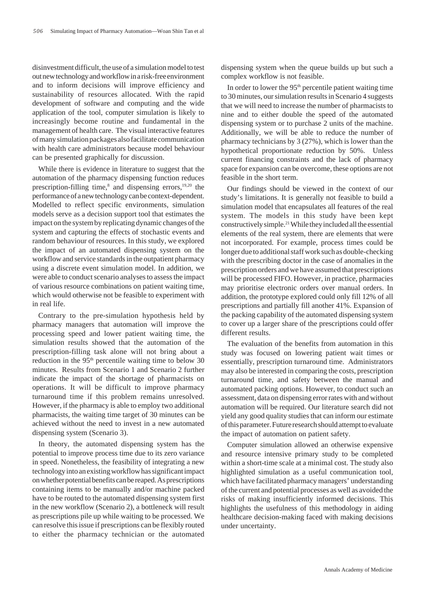disinvestment difficult, the use of a simulation model to test out new technology and workflow in a risk-free environment and to inform decisions will improve efficiency and sustainability of resources allocated. With the rapid development of software and computing and the wide application of the tool, computer simulation is likely to increasingly become routine and fundamental in the management of health care. The visual interactive features of many simulation packages also facilitate communication with health care administrators because model behaviour can be presented graphically for discussion.

While there is evidence in literature to suggest that the automation of the pharmacy dispensing function reduces prescription-filling time, $\delta$  and dispensing errors,  $19,20$  the performance of a new technology can be context-dependent. Modelled to reflect specific environments, simulation models serve as a decision support tool that estimates the impact on the system by replicating dynamic changes of the system and capturing the effects of stochastic events and random behaviour of resources. In this study, we explored the impact of an automated dispensing system on the workflow and service standards in the outpatient pharmacy using a discrete event simulation model. In addition, we were able to conduct scenario analyses to assess the impact of various resource combinations on patient waiting time, which would otherwise not be feasible to experiment with in real life.

Contrary to the pre-simulation hypothesis held by pharmacy managers that automation will improve the processing speed and lower patient waiting time, the simulation results showed that the automation of the prescription-filling task alone will not bring about a reduction in the 95<sup>th</sup> percentile waiting time to below 30 minutes. Results from Scenario 1 and Scenario 2 further indicate the impact of the shortage of pharmacists on operations. It will be difficult to improve pharmacy turnaround time if this problem remains unresolved. However, if the pharmacy is able to employ two additional pharmacists, the waiting time target of 30 minutes can be achieved without the need to invest in a new automated dispensing system (Scenario 3).

In theory, the automated dispensing system has the potential to improve process time due to its zero variance in speed. Nonetheless, the feasibility of integrating a new technology into an existing workflow has significant impact on whether potential benefits can be reaped. As prescriptions containing items to be manually and/or machine packed have to be routed to the automated dispensing system first in the new workflow (Scenario 2), a bottleneck will result as prescriptions pile up while waiting to be processed. We can resolve this issue if prescriptions can be flexibly routed to either the pharmacy technician or the automated dispensing system when the queue builds up but such a complex workflow is not feasible.

In order to lower the  $95<sup>th</sup>$  percentile patient waiting time to 30 minutes, our simulation results in Scenario 4 suggests that we will need to increase the number of pharmacists to nine and to either double the speed of the automated dispensing system or to purchase 2 units of the machine. Additionally, we will be able to reduce the number of pharmacy technicians by 3 (27%), which is lower than the hypothetical proportionate reduction by 50%. Unless current financing constraints and the lack of pharmacy space for expansion can be overcome, these options are not feasible in the short term.

Our findings should be viewed in the context of our study's limitations. It is generally not feasible to build a simulation model that encapsulates all features of the real system. The models in this study have been kept constructively simple.21 While they included all the essential elements of the real system, there are elements that were not incorporated. For example, process times could be longer due to additional staff work such as double-checking with the prescribing doctor in the case of anomalies in the prescription orders and we have assumed that prescriptions will be processed FIFO. However, in practice, pharmacies may prioritise electronic orders over manual orders. In addition, the prototype explored could only fill 12% of all prescriptions and partially fill another 41%. Expansion of the packing capability of the automated dispensing system to cover up a larger share of the prescriptions could offer different results.

The evaluation of the benefits from automation in this study was focused on lowering patient wait times or essentially, prescription turnaround time. Administrators may also be interested in comparing the costs, prescription turnaround time, and safety between the manual and automated packing options. However, to conduct such an assessment, data on dispensing error rates with and without automation will be required. Our literature search did not yield any good quality studies that can inform our estimate of this parameter. Future research should attempt to evaluate the impact of automation on patient safety.

Computer simulation allowed an otherwise expensive and resource intensive primary study to be completed within a short-time scale at a minimal cost. The study also highlighted simulation as a useful communication tool, which have facilitated pharmacy managers' understanding of the current and potential processes as well as avoided the risks of making insufficiently informed decisions. This highlights the usefulness of this methodology in aiding healthcare decision-making faced with making decisions under uncertainty.